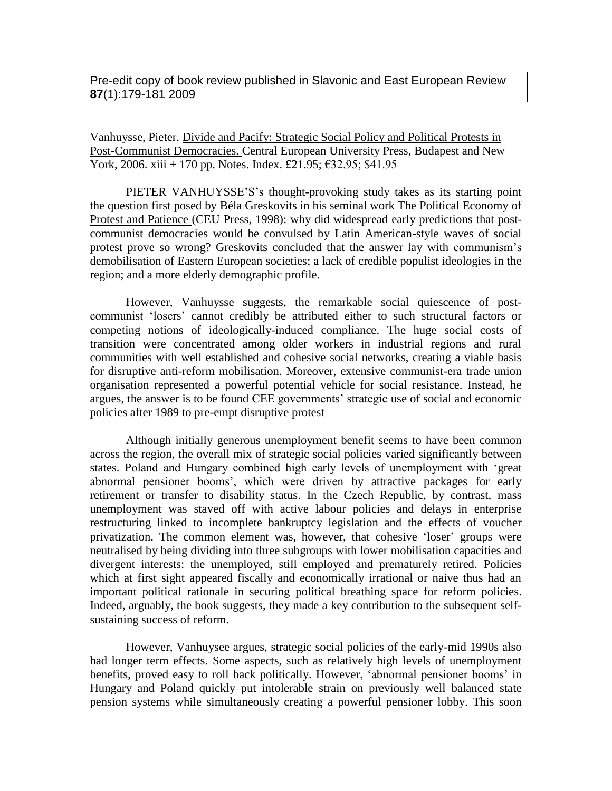Pre-edit copy of book review published in Slavonic and East European Review **87**(1):179-181 2009

Vanhuysse, Pieter. Divide and Pacify: Strategic Social Policy and Political Protests in Post-Communist Democracies. Central European University Press, Budapest and New York, 2006. xiii + 170 pp. Notes. Index. £21.95;  $\text{\textsterling}32.95$ ; \$41.95

PIETER VANHUYSSE'S's thought-provoking study takes as its starting point the question first posed by Béla Greskovits in his seminal work The Political Economy of Protest and Patience (CEU Press, 1998): why did widespread early predictions that postcommunist democracies would be convulsed by Latin American-style waves of social protest prove so wrong? Greskovits concluded that the answer lay with communism's demobilisation of Eastern European societies; a lack of credible populist ideologies in the region; and a more elderly demographic profile.

However, Vanhuysse suggests, the remarkable social quiescence of postcommunist 'losers' cannot credibly be attributed either to such structural factors or competing notions of ideologically-induced compliance. The huge social costs of transition were concentrated among older workers in industrial regions and rural communities with well established and cohesive social networks, creating a viable basis for disruptive anti-reform mobilisation. Moreover, extensive communist-era trade union organisation represented a powerful potential vehicle for social resistance. Instead, he argues, the answer is to be found CEE governments' strategic use of social and economic policies after 1989 to pre-empt disruptive protest

Although initially generous unemployment benefit seems to have been common across the region, the overall mix of strategic social policies varied significantly between states. Poland and Hungary combined high early levels of unemployment with 'great abnormal pensioner booms', which were driven by attractive packages for early retirement or transfer to disability status. In the Czech Republic, by contrast, mass unemployment was staved off with active labour policies and delays in enterprise restructuring linked to incomplete bankruptcy legislation and the effects of voucher privatization. The common element was, however, that cohesive 'loser' groups were neutralised by being dividing into three subgroups with lower mobilisation capacities and divergent interests: the unemployed, still employed and prematurely retired. Policies which at first sight appeared fiscally and economically irrational or naive thus had an important political rationale in securing political breathing space for reform policies. Indeed, arguably, the book suggests, they made a key contribution to the subsequent selfsustaining success of reform.

However, Vanhuysee argues, strategic social policies of the early-mid 1990s also had longer term effects. Some aspects, such as relatively high levels of unemployment benefits, proved easy to roll back politically. However, 'abnormal pensioner booms' in Hungary and Poland quickly put intolerable strain on previously well balanced state pension systems while simultaneously creating a powerful pensioner lobby. This soon